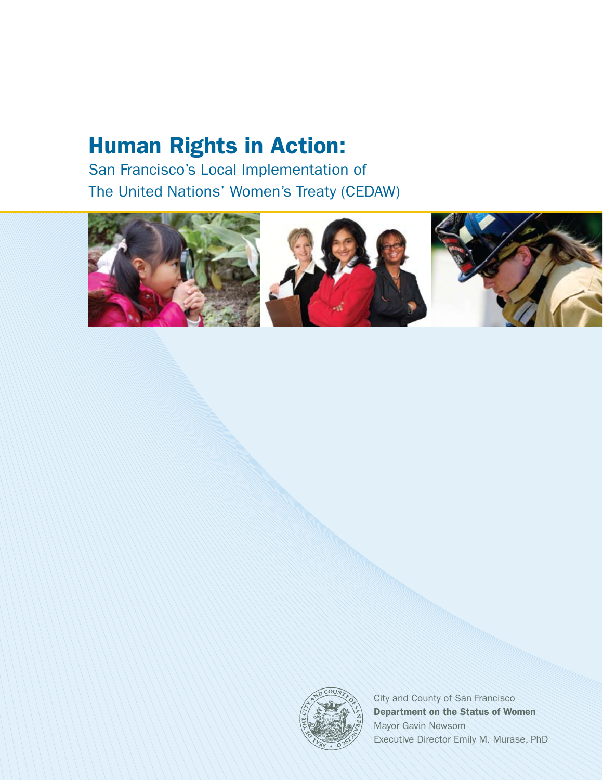# Human Rights in Action:

San Francisco's Local Implementation of The United Nations' Women's Treaty (CEDAW)









City and County of San Francisco Department on the Status of Women Mayor Gavin Newsom Executive Director Emily M. Murase, PhD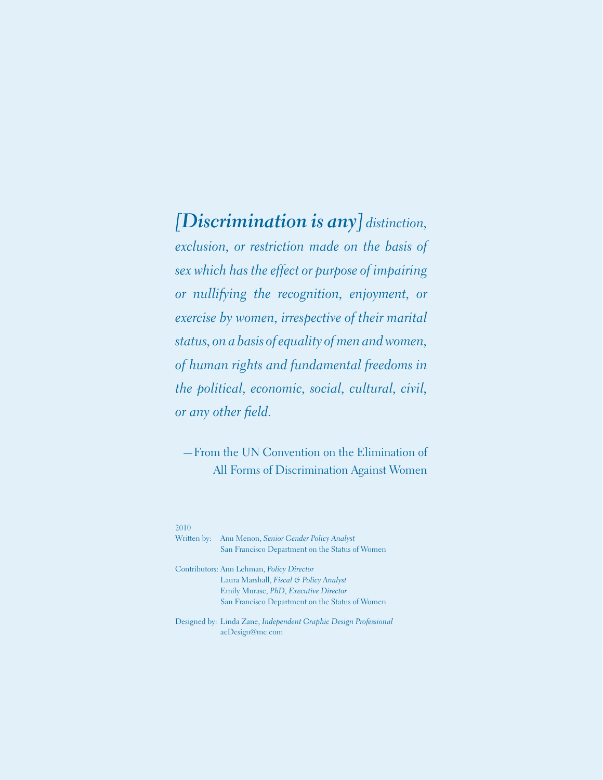## *[Discrimination is any] distinction,*

*exclusion, or restriction made on the basis of sex which has the effect or purpose of impairing or nullifying the recognition, enjoyment, or exercise by women, irrespective of their marital status, on a basis of equality of men and women, of human rights and fundamental freedoms in the political, economic, social, cultural, civil, or any other field.*

—From the UN Convention on the Elimination of All Forms of Discrimination Against Women

#### 2010

| Written by: | Anu Menon, Senior Gender Policy Analyst<br>San Francisco Department on the Status of Women                                                                                              |
|-------------|-----------------------------------------------------------------------------------------------------------------------------------------------------------------------------------------|
|             | Contributors: Ann Lehman, <i>Policy Director</i><br>Laura Marshall, Fiscal & Policy Analyst<br>Emily Murase, PhD, Executive Director<br>San Francisco Department on the Status of Women |

Designed by: Linda Zane, *Independent Graphic Design Professional*  aeDesign@me.com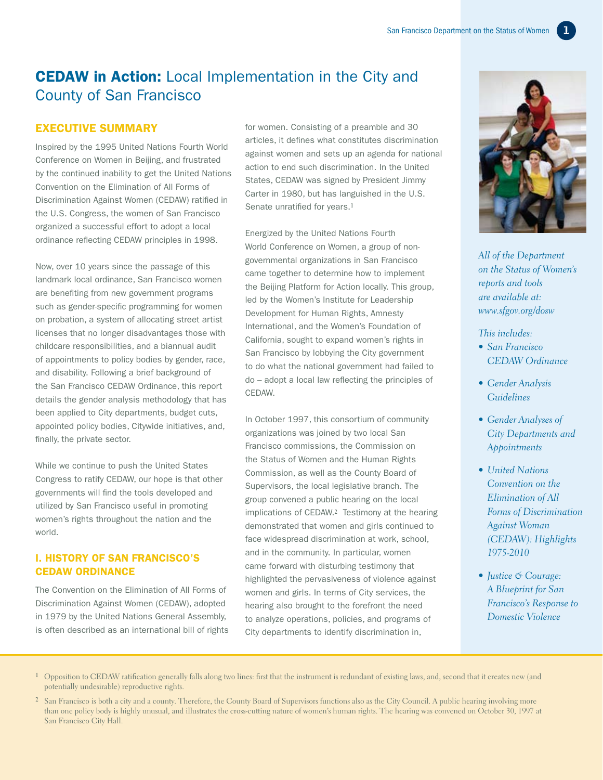### CEDAW in Action: Local Implementation in the City and County of San Francisco

#### EXECUTIVE SUMMARY

Inspired by the 1995 United Nations Fourth World Conference on Women in Beijing, and frustrated by the continued inability to get the United Nations Convention on the Elimination of All Forms of Discrimination Against Women (CEDAW) ratified in the U.S. Congress, the women of San Francisco organized a successful effort to adopt a local ordinance reflecting CEDAW principles in 1998.

Now, over 10 years since the passage of this landmark local ordinance, San Francisco women are benefiting from new government programs such as gender-specific programming for women on probation, a system of allocating street artist licenses that no longer disadvantages those with childcare responsibilities, and a biannual audit of appointments to policy bodies by gender, race, and disability. Following a brief background of the San Francisco CEDAW Ordinance, this report details the gender analysis methodology that has been applied to City departments, budget cuts, appointed policy bodies, Citywide initiatives, and, finally, the private sector.

While we continue to push the United States Congress to ratify CEDAW, our hope is that other governments will find the tools developed and utilized by San Francisco useful in promoting women's rights throughout the nation and the world.

#### I. History of San Francisco's CEDAW Ordinance

The Convention on the Elimination of All Forms of Discrimination Against Women (CEDAW), adopted in 1979 by the United Nations General Assembly, is often described as an international bill of rights for women. Consisting of a preamble and 30 articles, it defines what constitutes discrimination against women and sets up an agenda for national action to end such discrimination. In the United States, CEDAW was signed by President Jimmy Carter in 1980, but has languished in the U.S. Senate unratified for years.**<sup>1</sup>**

Energized by the United Nations Fourth World Conference on Women, a group of nongovernmental organizations in San Francisco came together to determine how to implement the Beijing Platform for Action locally. This group, led by the Women's Institute for Leadership Development for Human Rights, Amnesty International, and the Women's Foundation of California, sought to expand women's rights in San Francisco by lobbying the City government to do what the national government had failed to do – adopt a local law reflecting the principles of CEDAW.

In October 1997, this consortium of community organizations was joined by two local San Francisco commissions, the Commission on the Status of Women and the Human Rights Commission, as well as the County Board of Supervisors, the local legislative branch. The group convened a public hearing on the local implications of CEDAW.**2** Testimony at the hearing demonstrated that women and girls continued to face widespread discrimination at work, school, and in the community. In particular, women came forward with disturbing testimony that highlighted the pervasiveness of violence against women and girls. In terms of City services, the hearing also brought to the forefront the need to analyze operations, policies, and programs of City departments to identify discrimination in,



*All of the Department on the Status of Women's reports and tools are available at: www.sfgov.org/dosw* 

#### *This includes:*

- *• San Francisco CEDAW Ordinance*
- *• Gender Analysis Guidelines*
- *• Gender Analyses of City Departments and Appointments*
- *• United Nations Convention on the Elimination of All Forms of Discrimination Against Woman (CEDAW): Highlights 1975-2010*
- *• Justice & Courage: A Blueprint for San Francisco's Response to Domestic Violence*
- **1** Opposition to CEDAW ratification generally falls along two lines: first that the instrument is redundant of existing laws, and, second that it creates new (and potentially undesirable) reproductive rights.
- **2** San Francisco is both a city and a county. Therefore, the County Board of Supervisors functions also as the City Council. A public hearing involving more than one policy body is highly unusual, and illustrates the cross-cutting nature of women's human rights. The hearing was convened on October 30, 1997 at San Francisco City Hall.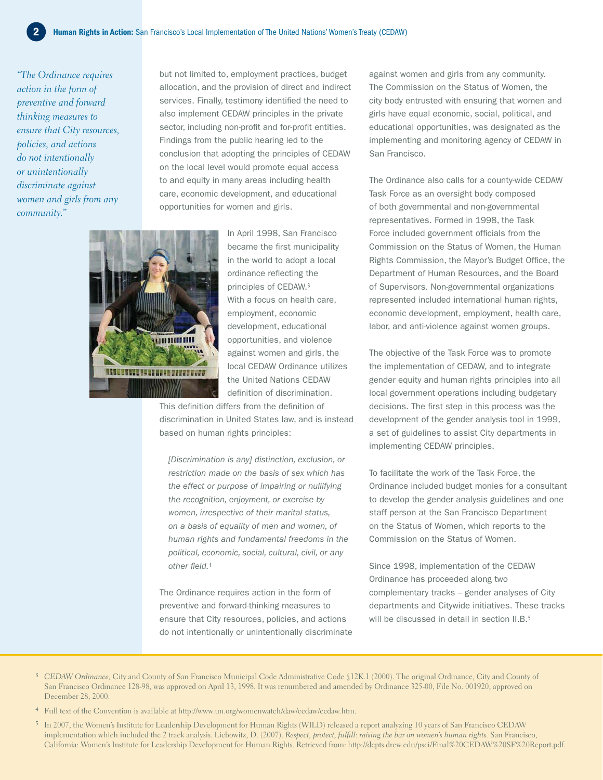*"The Ordinance requires action in the form of preventive and forward thinking measures to ensure that City resources, policies, and actions do not intentionally or unintentionally discriminate against women and girls from any community."*

but not limited to, employment practices, budget allocation, and the provision of direct and indirect services. Finally, testimony identified the need to also implement CEDAW principles in the private sector, including non-profit and for-profit entities. Findings from the public hearing led to the conclusion that adopting the principles of CEDAW on the local level would promote equal access to and equity in many areas including health care, economic development, and educational opportunities for women and girls.



In April 1998, San Francisco became the first municipality in the world to adopt a local ordinance reflecting the principles of CEDAW.**<sup>3</sup>** With a focus on health care, employment, economic development, educational opportunities, and violence against women and girls, the local CEDAW Ordinance utilizes the United Nations CEDAW definition of discrimination.

This definition differs from the definition of discrimination in United States law, and is instead based on human rights principles:

*[Discrimination is any] distinction, exclusion, or restriction made on the basis of sex which has the effect or purpose of impairing or nullifying the recognition, enjoyment, or exercise by women, irrespective of their marital status, on a basis of equality of men and women, of human rights and fundamental freedoms in the political, economic, social, cultural, civil, or any other field.***<sup>4</sup>**

The Ordinance requires action in the form of preventive and forward-thinking measures to ensure that City resources, policies, and actions do not intentionally or unintentionally discriminate against women and girls from any community. The Commission on the Status of Women, the city body entrusted with ensuring that women and girls have equal economic, social, political, and educational opportunities, was designated as the implementing and monitoring agency of CEDAW in San Francisco.

The Ordinance also calls for a county-wide CEDAW Task Force as an oversight body composed of both governmental and non-governmental representatives. Formed in 1998, the Task Force included government officials from the Commission on the Status of Women, the Human Rights Commission, the Mayor's Budget Office, the Department of Human Resources, and the Board of Supervisors. Non-governmental organizations represented included international human rights, economic development, employment, health care, labor, and anti-violence against women groups.

The objective of the Task Force was to promote the implementation of CEDAW, and to integrate gender equity and human rights principles into all local government operations including budgetary decisions. The first step in this process was the development of the gender analysis tool in 1999, a set of guidelines to assist City departments in implementing CEDAW principles.

To facilitate the work of the Task Force, the Ordinance included budget monies for a consultant to develop the gender analysis guidelines and one staff person at the San Francisco Department on the Status of Women, which reports to the Commission on the Status of Women.

Since 1998, implementation of the CEDAW Ordinance has proceeded along two complementary tracks – gender analyses of City departments and Citywide initiatives. These tracks will be discussed in detail in section II.B.**<sup>5</sup>**

- **3** *CEDAW Ordinance,* City and County of San Francisco Municipal Code Administrative Code §12K.1 (2000). The original Ordinance, City and County of San Francisco Ordinance 128-98, was approved on April 13, 1998. It was renumbered and amended by Ordinance 325-00, File No. 001920, approved on December 28, 2000.
- **4** Full text of the Convention is available at http://www.un.org/womenwatch/daw/cedaw/cedaw.htm.
- **5** In 2007, the Women's Institute for Leadership Development for Human Rights (WILD) released a report analyzing 10 years of San Francisco CEDAW implementation which included the 2 track analysis. Liebowitz, D. (2007). *Respect, protect, fulfill: raising the bar on women's human rights.* San Francisco, California: Women's Institute for Leadership Development for Human Rights. Retrieved from: http://depts.drew.edu/psci/Final%20CEDAW%20SF%20Report.pdf.

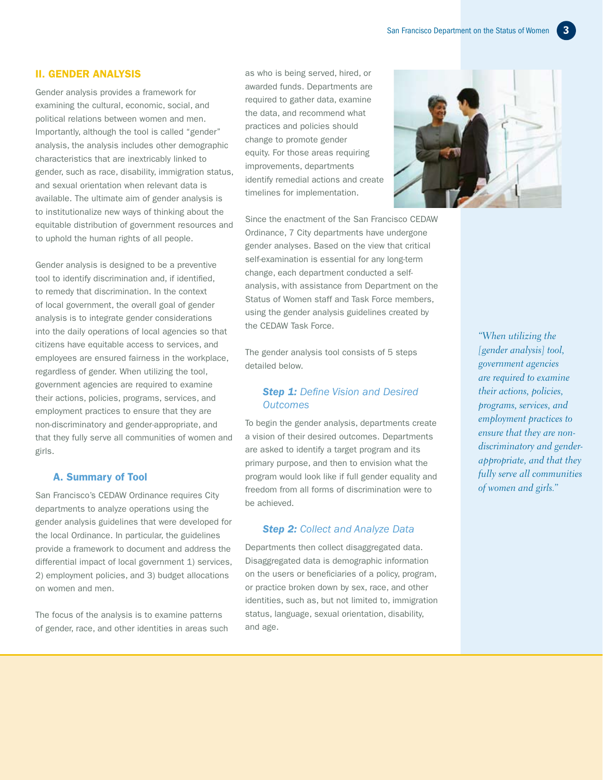#### II. Gender Analysis

Gender analysis provides a framework for examining the cultural, economic, social, and political relations between women and men. Importantly, although the tool is called "gender" analysis, the analysis includes other demographic characteristics that are inextricably linked to gender, such as race, disability, immigration status, and sexual orientation when relevant data is available. The ultimate aim of gender analysis is to institutionalize new ways of thinking about the equitable distribution of government resources and to uphold the human rights of all people.

Gender analysis is designed to be a preventive tool to identify discrimination and, if identified, to remedy that discrimination. In the context of local government, the overall goal of gender analysis is to integrate gender considerations into the daily operations of local agencies so that citizens have equitable access to services, and employees are ensured fairness in the workplace, regardless of gender. When utilizing the tool, government agencies are required to examine their actions, policies, programs, services, and employment practices to ensure that they are non-discriminatory and gender-appropriate, and that they fully serve all communities of women and girls.

#### A. Summary of Tool

San Francisco's CEDAW Ordinance requires City departments to analyze operations using the gender analysis guidelines that were developed for the local Ordinance. In particular, the guidelines provide a framework to document and address the differential impact of local government 1) services, 2) employment policies, and 3) budget allocations on women and men.

The focus of the analysis is to examine patterns of gender, race, and other identities in areas such as who is being served, hired, or awarded funds. Departments are required to gather data, examine the data, and recommend what practices and policies should change to promote gender equity. For those areas requiring improvements, departments identify remedial actions and create timelines for implementation.

Since the enactment of the San Francisco CEDAW Ordinance, 7 City departments have undergone gender analyses. Based on the view that critical self-examination is essential for any long-term change, each department conducted a selfanalysis, with assistance from Department on the Status of Women staff and Task Force members, using the gender analysis guidelines created by the CEDAW Task Force.

The gender analysis tool consists of 5 steps detailed below.

#### *Step 1: Define Vision and Desired Outcomes*

To begin the gender analysis, departments create a vision of their desired outcomes. Departments are asked to identify a target program and its primary purpose, and then to envision what the program would look like if full gender equality and freedom from all forms of discrimination were to be achieved.

#### *Step 2: Collect and Analyze Data*

Departments then collect disaggregated data. Disaggregated data is demographic information on the users or beneficiaries of a policy, program, or practice broken down by sex, race, and other identities, such as, but not limited to, immigration status, language, sexual orientation, disability, and age.



*"When utilizing the [gender analysis] tool, government agencies are required to examine their actions, policies, programs, services, and employment practices to ensure that they are nondiscriminatory and genderappropriate, and that they fully serve all communities of women and girls."*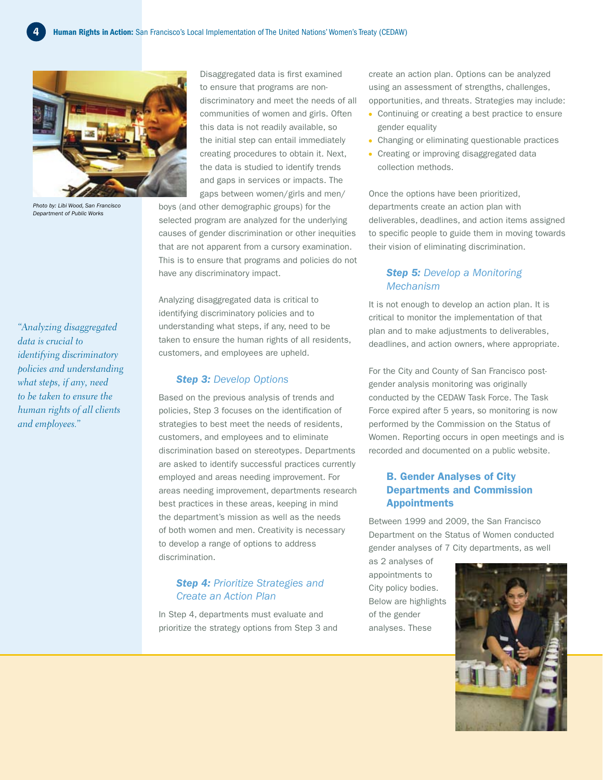

*Photo by: Libi Wood, San Francisco Department of Public Works*

*"Analyzing disaggregated data is crucial to identifying discriminatory policies and understanding what steps, if any, need to be taken to ensure the human rights of all clients and employees."*

Disaggregated data is first examined to ensure that programs are nondiscriminatory and meet the needs of all communities of women and girls. Often this data is not readily available, so the initial step can entail immediately creating procedures to obtain it. Next, the data is studied to identify trends and gaps in services or impacts. The gaps between women/girls and men/

boys (and other demographic groups) for the selected program are analyzed for the underlying causes of gender discrimination or other inequities that are not apparent from a cursory examination. This is to ensure that programs and policies do not have any discriminatory impact.

Analyzing disaggregated data is critical to identifying discriminatory policies and to understanding what steps, if any, need to be taken to ensure the human rights of all residents, customers, and employees are upheld.

#### *Step 3: Develop Options*

Based on the previous analysis of trends and policies, Step 3 focuses on the identification of strategies to best meet the needs of residents, customers, and employees and to eliminate discrimination based on stereotypes. Departments are asked to identify successful practices currently employed and areas needing improvement. For areas needing improvement, departments research best practices in these areas, keeping in mind the department's mission as well as the needs of both women and men. Creativity is necessary to develop a range of options to address discrimination.

#### *Step 4: Prioritize Strategies and Create an Action Plan*

In Step 4, departments must evaluate and prioritize the strategy options from Step 3 and create an action plan. Options can be analyzed using an assessment of strengths, challenges, opportunities, and threats. Strategies may include:

- Continuing or creating a best practice to ensure gender equality
- Changing or eliminating questionable practices
- Creating or improving disaggregated data collection methods.

Once the options have been prioritized, departments create an action plan with deliverables, deadlines, and action items assigned to specific people to guide them in moving towards their vision of eliminating discrimination.

#### *Step 5: Develop a Monitoring Mechanism*

It is not enough to develop an action plan. It is critical to monitor the implementation of that plan and to make adjustments to deliverables, deadlines, and action owners, where appropriate.

For the City and County of San Francisco postgender analysis monitoring was originally conducted by the CEDAW Task Force. The Task Force expired after 5 years, so monitoring is now performed by the Commission on the Status of Women. Reporting occurs in open meetings and is recorded and documented on a public website.

#### B. Gender Analyses of City Departments and Commission Appointments

Between 1999 and 2009, the San Francisco Department on the Status of Women conducted gender analyses of 7 City departments, as well

as 2 analyses of appointments to City policy bodies. Below are highlights of the gender analyses. These

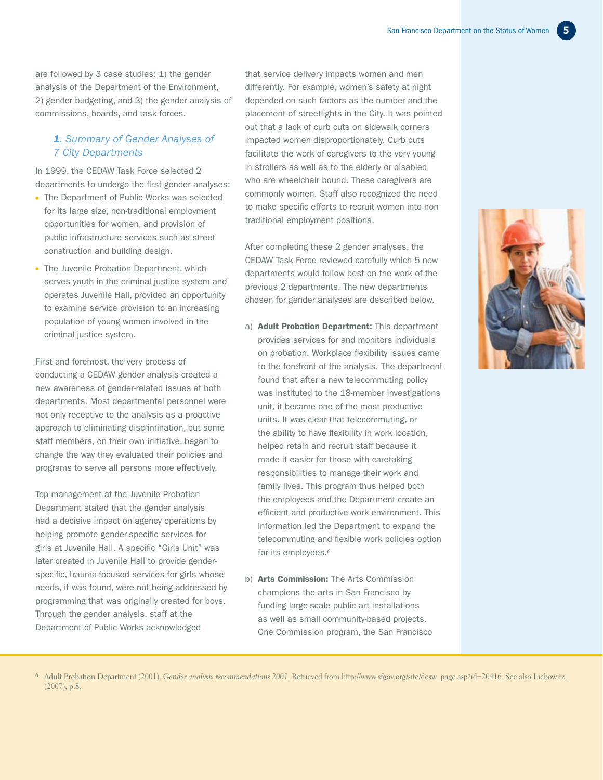are followed by 3 case studies: 1) the gender analysis of the Department of the Environment, 2) gender budgeting, and 3) the gender analysis of commissions, boards, and task forces.

#### *1. Summary of Gender Analyses of 7 City Departments*

In 1999, the CEDAW Task Force selected 2 departments to undergo the first gender analyses:

- The Department of Public Works was selected for its large size, non-traditional employment opportunities for women, and provision of public infrastructure services such as street construction and building design.
- The Juvenile Probation Department, which serves youth in the criminal justice system and operates Juvenile Hall, provided an opportunity to examine service provision to an increasing population of young women involved in the criminal justice system.

First and foremost, the very process of conducting a CEDAW gender analysis created a new awareness of gender-related issues at both departments. Most departmental personnel were not only receptive to the analysis as a proactive approach to eliminating discrimination, but some staff members, on their own initiative, began to change the way they evaluated their policies and programs to serve all persons more effectively.

Top management at the Juvenile Probation Department stated that the gender analysis had a decisive impact on agency operations by helping promote gender-specific services for girls at Juvenile Hall. A specific "Girls Unit" was later created in Juvenile Hall to provide genderspecific, trauma-focused services for girls whose needs, it was found, were not being addressed by programming that was originally created for boys. Through the gender analysis, staff at the Department of Public Works acknowledged

that service delivery impacts women and men differently. For example, women's safety at night depended on such factors as the number and the placement of streetlights in the City. It was pointed out that a lack of curb cuts on sidewalk corners impacted women disproportionately. Curb cuts facilitate the work of caregivers to the very young in strollers as well as to the elderly or disabled who are wheelchair bound. These caregivers are commonly women. Staff also recognized the need to make specific efforts to recruit women into nontraditional employment positions.

After completing these 2 gender analyses, the CEDAW Task Force reviewed carefully which 5 new departments would follow best on the work of the previous 2 departments. The new departments chosen for gender analyses are described below.

- a) **Adult Probation Department:** This department provides services for and monitors individuals on probation. Workplace flexibility issues came to the forefront of the analysis. The department found that after a new telecommuting policy was instituted to the 18-member investigations unit, it became one of the most productive units. It was clear that telecommuting, or the ability to have flexibility in work location, helped retain and recruit staff because it made it easier for those with caretaking responsibilities to manage their work and family lives. This program thus helped both the employees and the Department create an efficient and productive work environment. This information led the Department to expand the telecommuting and flexible work policies option for its employees.**<sup>6</sup>**
- b) Arts Commission: The Arts Commission champions the arts in San Francisco by funding large-scale public art installations as well as small community-based projects. One Commission program, the San Francisco



**6** Adult Probation Department (2001). *Gender analysis recommendations 2001.* Retrieved from http://www.sfgov.org/site/dosw\_page.asp?id=20416. See also Liebowitz, (2007), p.8.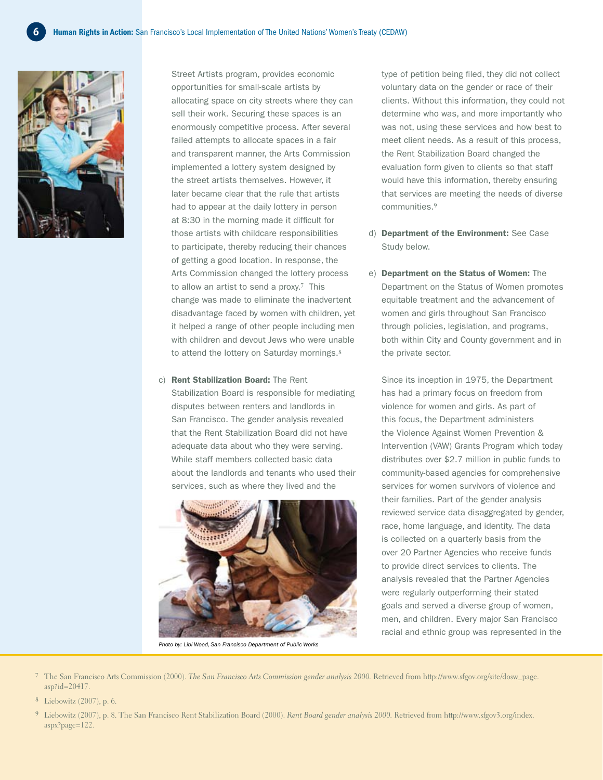

Street Artists program, provides economic opportunities for small-scale artists by allocating space on city streets where they can sell their work. Securing these spaces is an enormously competitive process. After several failed attempts to allocate spaces in a fair and transparent manner, the Arts Commission implemented a lottery system designed by the street artists themselves. However, it later became clear that the rule that artists had to appear at the daily lottery in person at 8:30 in the morning made it difficult for those artists with childcare responsibilities to participate, thereby reducing their chances of getting a good location. In response, the Arts Commission changed the lottery process to allow an artist to send a proxy.**7** This change was made to eliminate the inadvertent disadvantage faced by women with children, yet it helped a range of other people including men with children and devout Jews who were unable to attend the lottery on Saturday mornings.**<sup>8</sup>**

c) Rent Stabilization Board: The Rent Stabilization Board is responsible for mediating disputes between renters and landlords in San Francisco. The gender analysis revealed that the Rent Stabilization Board did not have adequate data about who they were serving. While staff members collected basic data about the landlords and tenants who used their

services, such as where they lived and the



*Photo by: Libi Wood, San Francisco Department of Public Works*

type of petition being filed, they did not collect voluntary data on the gender or race of their clients. Without this information, they could not determine who was, and more importantly who was not, using these services and how best to meet client needs. As a result of this process, the Rent Stabilization Board changed the evaluation form given to clients so that staff would have this information, thereby ensuring that services are meeting the needs of diverse communities.**<sup>9</sup>**

- d) Department of the Environment: See Case Study below.
- e) Department on the Status of Women: The Department on the Status of Women promotes equitable treatment and the advancement of women and girls throughout San Francisco through policies, legislation, and programs, both within City and County government and in the private sector.

Since its inception in 1975, the Department has had a primary focus on freedom from violence for women and girls. As part of this focus, the Department administers the Violence Against Women Prevention & Intervention (VAW) Grants Program which today distributes over \$2.7 million in public funds to community-based agencies for comprehensive services for women survivors of violence and their families. Part of the gender analysis reviewed service data disaggregated by gender, race, home language, and identity. The data is collected on a quarterly basis from the over 20 Partner Agencies who receive funds to provide direct services to clients. The analysis revealed that the Partner Agencies were regularly outperforming their stated goals and served a diverse group of women, men, and children. Every major San Francisco racial and ethnic group was represented in the

- **7** The San Francisco Arts Commission (2000). *The San Francisco Arts Commission gender analysis 2000.* Retrieved from http://www.sfgov.org/site/dosw\_page. asp?id=20417.
- **8** Liebowitz (2007), p. 6.
- **9** Liebowitz (2007), p. 8. The San Francisco Rent Stabilization Board (2000). *Rent Board gender analysis 2000.* Retrieved from http://www.sfgov3.org/index. aspx?page=122.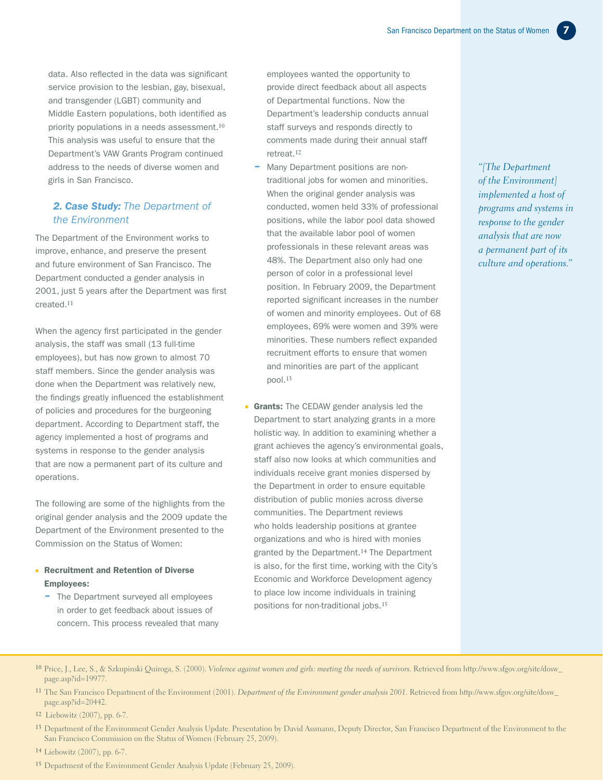data. Also reflected in the data was significant service provision to the lesbian, gay, bisexual, and transgender (LGBT) community and Middle Eastern populations, both identified as priority populations in a needs assessment.**<sup>10</sup>** This analysis was useful to ensure that the Department's VAW Grants Program continued address to the needs of diverse women and girls in San Francisco.

#### *2. Case Study: The Department of the Environment*

The Department of the Environment works to improve, enhance, and preserve the present and future environment of San Francisco. The Department conducted a gender analysis in 2001, just 5 years after the Department was first created.**<sup>11</sup>**

When the agency first participated in the gender analysis, the staff was small (13 full-time employees), but has now grown to almost 70 staff members. Since the gender analysis was done when the Department was relatively new, the findings greatly influenced the establishment of policies and procedures for the burgeoning department. According to Department staff, the agency implemented a host of programs and systems in response to the gender analysis that are now a permanent part of its culture and operations.

The following are some of the highlights from the original gender analysis and the 2009 update the Department of the Environment presented to the Commission on the Status of Women:

#### • Recruitment and Retention of Diverse Employees:

– The Department surveyed all employees in order to get feedback about issues of concern. This process revealed that many employees wanted the opportunity to provide direct feedback about all aspects of Departmental functions. Now the Department's leadership conducts annual staff surveys and responds directly to comments made during their annual staff retreat.**<sup>12</sup>**

- Many Department positions are nontraditional jobs for women and minorities. When the original gender analysis was conducted, women held 33% of professional positions, while the labor pool data showed that the available labor pool of women professionals in these relevant areas was 48%. The Department also only had one person of color in a professional level position. In February 2009, the Department reported significant increases in the number of women and minority employees. Out of 68 employees, 69% were women and 39% were minorities. These numbers reflect expanded recruitment efforts to ensure that women and minorities are part of the applicant pool.**<sup>13</sup>**
- **Grants:** The CEDAW gender analysis led the Department to start analyzing grants in a more holistic way. In addition to examining whether a grant achieves the agency's environmental goals, staff also now looks at which communities and individuals receive grant monies dispersed by the Department in order to ensure equitable distribution of public monies across diverse communities. The Department reviews who holds leadership positions at grantee organizations and who is hired with monies granted by the Department.**14** The Department is also, for the first time, working with the City's Economic and Workforce Development agency to place low income individuals in training positions for non-traditional jobs.**<sup>15</sup>**

*"[The Department of the Environment] implemented a host of programs and systems in response to the gender analysis that are now a permanent part of its culture and operations."*

- **10** Price, J., Lee, S., & Szkupinski Quiroga, S. (2000). *Violence against women and girls: meeting the needs of survivors.* Retrieved from http://www.sfgov.org/site/dosw\_ page.asp?id=19977.
- **11** The San Francisco Department of the Environment (2001). *Department of the Environment gender analysis 2001.* Retrieved from http://www.sfgov.org/site/dosw\_ page.asp?id=20442.

- **13** Department of the Environment Gender Analysis Update. Presentation by David Assmann, Deputy Director, San Francisco Department of the Environment to the San Francisco Commission on the Status of Women (February 25, 2009).
- **14** Liebowitz (2007), pp. 6-7.
- **15** Department of the Environment Gender Analysis Update (February 25, 2009).

**<sup>12</sup>** Liebowitz (2007), pp. 6-7.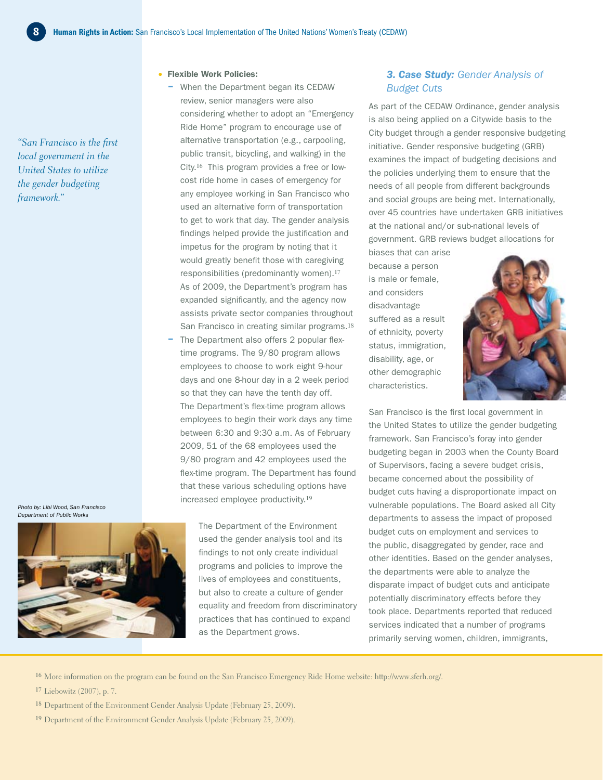– When the Department began its CEDAW review, senior managers were also

considering whether to adopt an "Emergency Ride Home" program to encourage use of alternative transportation (e.g., carpooling, public transit, bicycling, and walking) in the City.**16** This program provides a free or lowcost ride home in cases of emergency for any employee working in San Francisco who used an alternative form of transportation to get to work that day. The gender analysis findings helped provide the justification and impetus for the program by noting that it would greatly benefit those with caregiving responsibilities (predominantly women).**<sup>17</sup>** As of 2009, the Department's program has expanded significantly, and the agency now assists private sector companies throughout San Francisco in creating similar programs.**<sup>18</sup>** - The Department also offers 2 popular flextime programs. The 9/80 program allows employees to choose to work eight 9-hour days and one 8-hour day in a 2 week period so that they can have the tenth day off. The Department's flex-time program allows employees to begin their work days any time between 6:30 and 9:30 a.m. As of February 2009, 51 of the 68 employees used the 9/80 program and 42 employees used the flex-time program. The Department has found that these various scheduling options have

Flexible Work Policies:

*"San Francisco is the first local government in the United States to utilize the gender budgeting framework."*

*Photo by: Libi Wood, San Francisco Department of Public Works*



The Department of the Environment used the gender analysis tool and its findings to not only create individual programs and policies to improve the lives of employees and constituents, but also to create a culture of gender equality and freedom from discriminatory practices that has continued to expand as the Department grows.

#### *3. Case Study: Gender Analysis of Budget Cuts*

As part of the CEDAW Ordinance, gender analysis is also being applied on a Citywide basis to the City budget through a gender responsive budgeting initiative. Gender responsive budgeting (GRB) examines the impact of budgeting decisions and the policies underlying them to ensure that the needs of all people from different backgrounds and social groups are being met. Internationally, over 45 countries have undertaken GRB initiatives at the national and/or sub-national levels of government. GRB reviews budget allocations for

biases that can arise because a person is male or female, and considers disadvantage suffered as a result of ethnicity, poverty status, immigration, disability, age, or other demographic characteristics.



San Francisco is the first local government in the United States to utilize the gender budgeting framework. San Francisco's foray into gender budgeting began in 2003 when the County Board of Supervisors, facing a severe budget crisis, became concerned about the possibility of budget cuts having a disproportionate impact on vulnerable populations. The Board asked all City departments to assess the impact of proposed budget cuts on employment and services to the public, disaggregated by gender, race and other identities. Based on the gender analyses, the departments were able to analyze the disparate impact of budget cuts and anticipate potentially discriminatory effects before they took place. Departments reported that reduced services indicated that a number of programs primarily serving women, children, immigrants,

**16** More information on the program can be found on the San Francisco Emergency Ride Home website: http://www.sferh.org/.

increased employee productivity.**<sup>19</sup>**

- **17** Liebowitz (2007), p. 7.
- **18** Department of the Environment Gender Analysis Update (February 25, 2009).
- **19** Department of the Environment Gender Analysis Update (February 25, 2009).

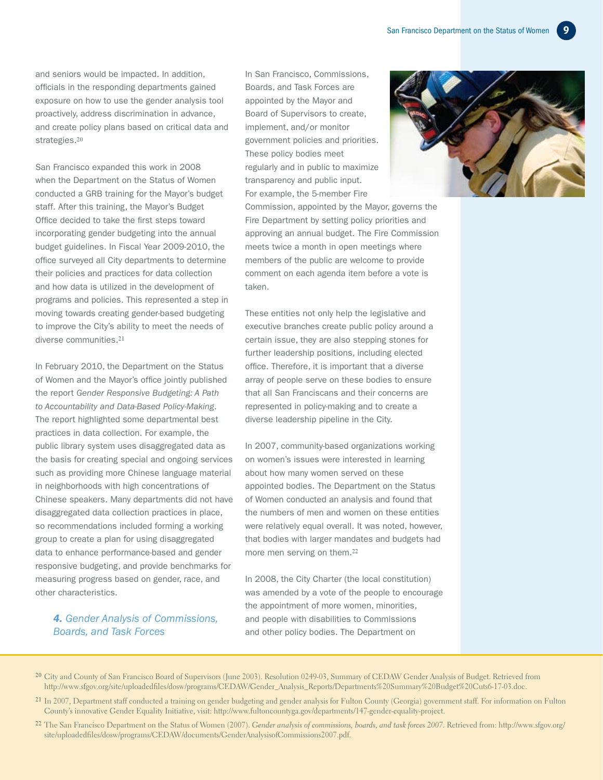and seniors would be impacted. In addition, officials in the responding departments gained exposure on how to use the gender analysis tool proactively, address discrimination in advance, and create policy plans based on critical data and strategies.**<sup>20</sup>**

San Francisco expanded this work in 2008 when the Department on the Status of Women conducted a GRB training for the Mayor's budget staff. After this training, the Mayor's Budget Office decided to take the first steps toward incorporating gender budgeting into the annual budget guidelines. In Fiscal Year 2009-2010, the office surveyed all City departments to determine their policies and practices for data collection and how data is utilized in the development of programs and policies. This represented a step in moving towards creating gender-based budgeting to improve the City's ability to meet the needs of diverse communities.**<sup>21</sup>**

In February 2010, the Department on the Status of Women and the Mayor's office jointly published the report *Gender Responsive Budgeting: A Path to Accountability and Data-Based Policy-Making*. The report highlighted some departmental best practices in data collection. For example, the public library system uses disaggregated data as the basis for creating special and ongoing services such as providing more Chinese language material in neighborhoods with high concentrations of Chinese speakers. Many departments did not have disaggregated data collection practices in place, so recommendations included forming a working group to create a plan for using disaggregated data to enhance performance-based and gender responsive budgeting, and provide benchmarks for measuring progress based on gender, race, and other characteristics.

#### *4. Gender Analysis of Commissions, Boards, and Task Forces*

In San Francisco, Commissions, Boards, and Task Forces are appointed by the Mayor and Board of Supervisors to create, implement, and/or monitor government policies and priorities. These policy bodies meet regularly and in public to maximize transparency and public input. For example, the 5-member Fire Commission, appointed by the Mayor, governs the

Fire Department by setting policy priorities and approving an annual budget. The Fire Commission meets twice a month in open meetings where members of the public are welcome to provide comment on each agenda item before a vote is taken.

These entities not only help the legislative and executive branches create public policy around a certain issue, they are also stepping stones for further leadership positions, including elected office. Therefore, it is important that a diverse array of people serve on these bodies to ensure that all San Franciscans and their concerns are represented in policy-making and to create a diverse leadership pipeline in the City.

In 2007, community-based organizations working on women's issues were interested in learning about how many women served on these appointed bodies. The Department on the Status of Women conducted an analysis and found that the numbers of men and women on these entities were relatively equal overall. It was noted, however, that bodies with larger mandates and budgets had more men serving on them.**<sup>22</sup>**

In 2008, the City Charter (the local constitution) was amended by a vote of the people to encourage the appointment of more women, minorities, and people with disabilities to Commissions and other policy bodies. The Department on



- **20** City and County of San Francisco Board of Supervisors (June 2003). Resolution 0249-03, Summary of CEDAW Gender Analysis of Budget. Retrieved from http://www.sfgov.org/site/uploadedfiles/dosw/programs/CEDAW/Gender\_Analysis\_Reports/Departments%20Summary%20Budget%20Cuts6-17-03.doc.
- **21** In 2007, Department staff conducted a training on gender budgeting and gender analysis for Fulton County (Georgia) government staff. For information on Fulton County's innovative Gender Equality Initiative, visit: http://www.fultoncountyga.gov/departments/147-gender-equality-project.
- **22** The San Francisco Department on the Status of Women (2007). *Gender analysis of commissions, boards, and task forces 2007.* Retrieved from: http://www.sfgov.org/ site/uploadedfiles/dosw/programs/CEDAW/documents/GenderAnalysisofCommissions2007.pdf.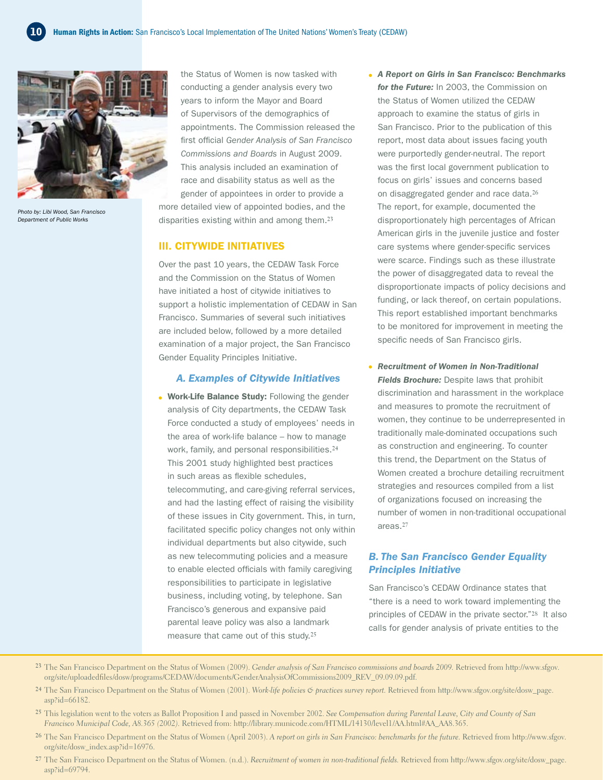

*Photo by: Libi Wood, San Francisco Department of Public Works*

the Status of Women is now tasked with conducting a gender analysis every two years to inform the Mayor and Board of Supervisors of the demographics of appointments. The Commission released the first official *Gender Analysis of San Francisco Commissions and Boards* in August 2009. This analysis included an examination of race and disability status as well as the gender of appointees in order to provide a more detailed view of appointed bodies, and the disparities existing within and among them.**<sup>23</sup>**

#### III. Citywide Initiatives

Over the past 10 years, the CEDAW Task Force and the Commission on the Status of Women have initiated a host of citywide initiatives to support a holistic implementation of CEDAW in San Francisco. Summaries of several such initiatives are included below, followed by a more detailed examination of a major project, the San Francisco Gender Equality Principles Initiative.

#### *A. Examples of Citywide Initiatives*

- Work-Life Balance Study: Following the gender analysis of City departments, the CEDAW Task Force conducted a study of employees' needs in the area of work-life balance – how to manage work, family, and personal responsibilities.**<sup>24</sup>** This 2001 study highlighted best practices in such areas as flexible schedules, telecommuting, and care-giving referral services, and had the lasting effect of raising the visibility of these issues in City government. This, in turn, facilitated specific policy changes not only within individual departments but also citywide, such as new telecommuting policies and a measure to enable elected officials with family caregiving responsibilities to participate in legislative business, including voting, by telephone. San Francisco's generous and expansive paid parental leave policy was also a landmark measure that came out of this study.**<sup>25</sup>**
- *A Report on Girls in San Francisco: Benchmarks for the Future:* In 2003, the Commission on the Status of Women utilized the CEDAW approach to examine the status of girls in San Francisco. Prior to the publication of this report, most data about issues facing youth were purportedly gender-neutral. The report was the first local government publication to focus on girls' issues and concerns based on disaggregated gender and race data.**<sup>26</sup>** The report, for example, documented the disproportionately high percentages of African American girls in the juvenile justice and foster care systems where gender-specific services were scarce. Findings such as these illustrate the power of disaggregated data to reveal the disproportionate impacts of policy decisions and funding, or lack thereof, on certain populations. This report established important benchmarks to be monitored for improvement in meeting the specific needs of San Francisco girls.
- *Recruitment of Women in Non-Traditional Fields Brochure:* Despite laws that prohibit discrimination and harassment in the workplace and measures to promote the recruitment of women, they continue to be underrepresented in traditionally male-dominated occupations such as construction and engineering. To counter this trend, the Department on the Status of Women created a brochure detailing recruitment strategies and resources compiled from a list of organizations focused on increasing the number of women in non-traditional occupational areas.**<sup>27</sup>**

#### *B. The San Francisco Gender Equality Principles Initiative*

San Francisco's CEDAW Ordinance states that "there is a need to work toward implementing the principles of CEDAW in the private sector."**28** It also calls for gender analysis of private entities to the

- **23** The San Francisco Department on the Status of Women (2009). *Gender analysis of San Francisco commissions and boards 2009.* Retrieved from http://www.sfgov. org/site/uploadedfiles/dosw/programs/CEDAW/documents/GenderAnalysisOfCommissions2009\_REV\_09.09.09.pdf.
- **24** The San Francisco Department on the Status of Women (2001). *Work-life policies & practices survey report.* Retrieved from http://www.sfgov.org/site/dosw\_page. asp?id=66182.
- **25** This legislation went to the voters as Ballot Proposition I and passed in November 2002. *See Compensation during Parental Leave, City and County of San Francisco Municipal Code, A8.365 (2002).* Retrieved from: http://library.municode.com/HTML/14130/level1/AA.html#AA\_AA8.365.
- **26** The San Francisco Department on the Status of Women (April 2003). *A report on girls in San Francisco: benchmarks for the future.* Retrieved from http://www.sfgov. org/site/dosw\_index.asp?id=16976.
- **27** The San Francisco Department on the Status of Women. (n.d.). *Recruitment of women in non-traditional fields.* Retrieved from http://www.sfgov.org/site/dosw\_page. asp?id=69794.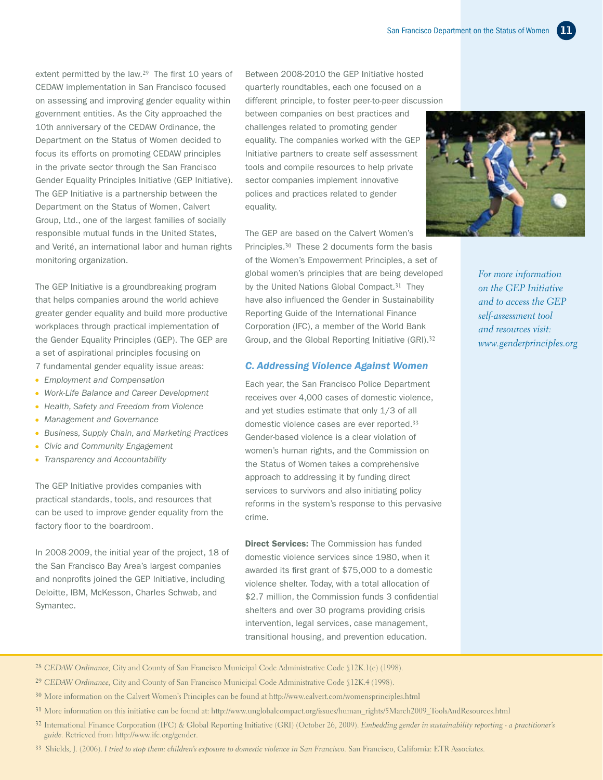extent permitted by the law.**29** The first 10 years of CEDAW implementation in San Francisco focused on assessing and improving gender equality within government entities. As the City approached the 10th anniversary of the CEDAW Ordinance, the Department on the Status of Women decided to focus its efforts on promoting CEDAW principles in the private sector through the San Francisco Gender Equality Principles Initiative (GEP Initiative). The GEP Initiative is a partnership between the Department on the Status of Women, Calvert Group, Ltd., one of the largest families of socially responsible mutual funds in the United States, and Verité, an international labor and human rights monitoring organization.

The GEP Initiative is a groundbreaking program that helps companies around the world achieve greater gender equality and build more productive workplaces through practical implementation of the Gender Equality Principles (GEP). The GEP are a set of aspirational principles focusing on 7 fundamental gender equality issue areas:

- *Employment and Compensation*
- *Work-Life Balance and Career Development*
- *Health, Safety and Freedom from Violence*
- *Management and Governance*
- *Business, Supply Chain, and Marketing Practices*
- *Civic and Community Engagement*
- *Transparency and Accountability*

The GEP Initiative provides companies with practical standards, tools, and resources that can be used to improve gender equality from the factory floor to the boardroom.

In 2008-2009, the initial year of the project, 18 of the San Francisco Bay Area's largest companies and nonprofits joined the GEP Initiative, including Deloitte, IBM, McKesson, Charles Schwab, and Symantec.

Between 2008-2010 the GEP Initiative hosted quarterly roundtables, each one focused on a

different principle, to foster peer-to-peer discussion between companies on best practices and challenges related to promoting gender equality. The companies worked with the GEP Initiative partners to create self assessment tools and compile resources to help private sector companies implement innovative polices and practices related to gender

equality.

The GEP are based on the Calvert Women's Principles.**30** These 2 documents form the basis of the Women's Empowerment Principles, a set of global women's principles that are being developed by the United Nations Global Compact.**31** They have also influenced the Gender in Sustainability Reporting Guide of the International Finance Corporation (IFC), a member of the World Bank Group, and the Global Reporting Initiative (GRI).**<sup>32</sup>**

#### *C. Addressing Violence Against Women*

Each year, the San Francisco Police Department receives over 4,000 cases of domestic violence, and yet studies estimate that only 1/3 of all domestic violence cases are ever reported.**<sup>33</sup>** Gender-based violence is a clear violation of women's human rights, and the Commission on the Status of Women takes a comprehensive approach to addressing it by funding direct services to survivors and also initiating policy reforms in the system's response to this pervasive crime.

**Direct Services:** The Commission has funded domestic violence services since 1980, when it awarded its first grant of \$75,000 to a domestic violence shelter. Today, with a total allocation of \$2.7 million, the Commission funds 3 confidential shelters and over 30 programs providing crisis intervention, legal services, case management, transitional housing, and prevention education.



*For more information on the GEP Initiative and to access the GEP self-assessment tool and resources visit: www.genderprinciples.org*

#### **28** *CEDAW Ordinance,* City and County of San Francisco Municipal Code Administrative Code §12K.1(c) (1998).

- **29** *CEDAW Ordinance,* City and County of San Francisco Municipal Code Administrative Code §12K.4 (1998).
- **30** More information on the Calvert Women's Principles can be found at http://www.calvert.com/womensprinciples.html
- **31** More information on this initiative can be found at: http://www.unglobalcompact.org/issues/human\_rights/5March2009\_ToolsAndResources.html
- **32** International Finance Corporation (IFC) & Global Reporting Initiative (GRI) (October 26, 2009). *Embedding gender in sustainability reporting a practitioner's guide.* Retrieved from http://www.ifc.org/gender.
- **33** Shields, J. (2006). *I tried to stop them: children's exposure to domestic violence in San Francisco.* San Francisco, California: ETR Associates.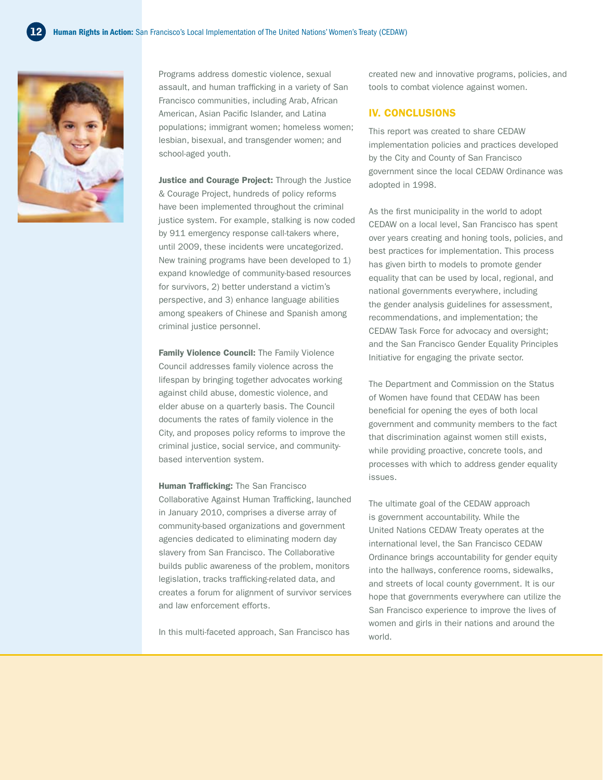

Programs address domestic violence, sexual assault, and human trafficking in a variety of San Francisco communities, including Arab, African American, Asian Pacific Islander, and Latina populations; immigrant women; homeless women; lesbian, bisexual, and transgender women; and school-aged youth.

Justice and Courage Project: Through the Justice & Courage Project, hundreds of policy reforms have been implemented throughout the criminal justice system. For example, stalking is now coded by 911 emergency response call-takers where, until 2009, these incidents were uncategorized. New training programs have been developed to 1) expand knowledge of community-based resources for survivors, 2) better understand a victim's perspective, and 3) enhance language abilities among speakers of Chinese and Spanish among criminal justice personnel.

Family Violence Council: The Family Violence Council addresses family violence across the lifespan by bringing together advocates working against child abuse, domestic violence, and elder abuse on a quarterly basis. The Council documents the rates of family violence in the City, and proposes policy reforms to improve the criminal justice, social service, and communitybased intervention system.

**Human Trafficking: The San Francisco** Collaborative Against Human Trafficking, launched in January 2010, comprises a diverse array of community-based organizations and government agencies dedicated to eliminating modern day slavery from San Francisco. The Collaborative builds public awareness of the problem, monitors legislation, tracks trafficking-related data, and creates a forum for alignment of survivor services and law enforcement efforts.

In this multi-faceted approach, San Francisco has

created new and innovative programs, policies, and tools to combat violence against women.

#### IV. Conclusions

This report was created to share CEDAW implementation policies and practices developed by the City and County of San Francisco government since the local CEDAW Ordinance was adopted in 1998.

As the first municipality in the world to adopt CEDAW on a local level, San Francisco has spent over years creating and honing tools, policies, and best practices for implementation. This process has given birth to models to promote gender equality that can be used by local, regional, and national governments everywhere, including the gender analysis guidelines for assessment, recommendations, and implementation; the CEDAW Task Force for advocacy and oversight; and the San Francisco Gender Equality Principles Initiative for engaging the private sector.

The Department and Commission on the Status of Women have found that CEDAW has been beneficial for opening the eyes of both local government and community members to the fact that discrimination against women still exists, while providing proactive, concrete tools, and processes with which to address gender equality issues.

The ultimate goal of the CEDAW approach is government accountability. While the United Nations CEDAW Treaty operates at the international level, the San Francisco CEDAW Ordinance brings accountability for gender equity into the hallways, conference rooms, sidewalks, and streets of local county government. It is our hope that governments everywhere can utilize the San Francisco experience to improve the lives of women and girls in their nations and around the world.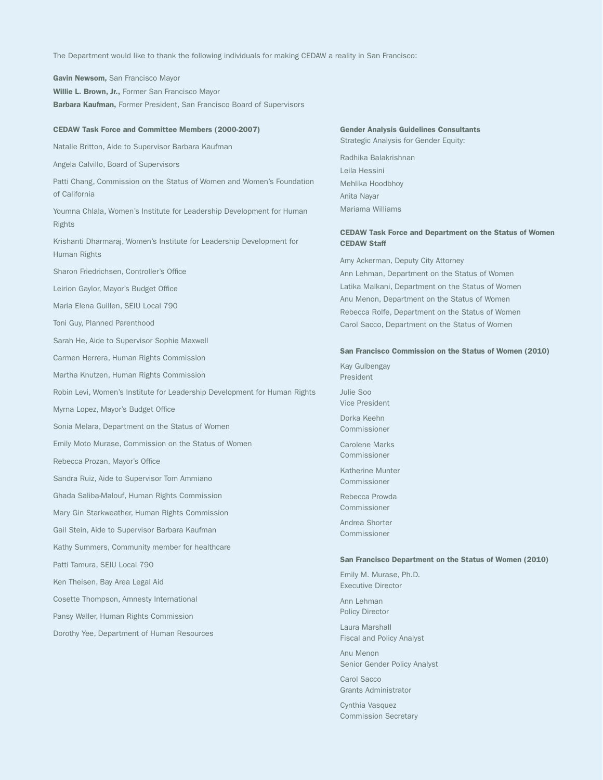The Department would like to thank the following individuals for making CEDAW a reality in San Francisco:

Gavin Newsom, San Francisco Mayor Willie L. Brown, Jr., Former San Francisco Mayor Barbara Kaufman, Former President, San Francisco Board of Supervisors

#### CEDAW Task Force and Committee Members (2000-2007)

Natalie Britton, Aide to Supervisor Barbara Kaufman

Angela Calvillo, Board of Supervisors

Patti Chang, Commission on the Status of Women and Women's Foundation of California

Youmna Chlala, Women's Institute for Leadership Development for Human Rights

Krishanti Dharmaraj, Women's Institute for Leadership Development for Human Rights

Sharon Friedrichsen, Controller's Office

Leirion Gaylor, Mayor's Budget Office

Maria Elena Guillen, SEIU Local 790

Toni Guy, Planned Parenthood

Sarah He, Aide to Supervisor Sophie Maxwell

Carmen Herrera, Human Rights Commission

Martha Knutzen, Human Rights Commission

Robin Levi, Women's Institute for Leadership Development for Human Rights

Myrna Lopez, Mayor's Budget Office

Sonia Melara, Department on the Status of Women

Emily Moto Murase, Commission on the Status of Women

Rebecca Prozan, Mayor's Office

Sandra Ruiz, Aide to Supervisor Tom Ammiano

Ghada Saliba-Malouf, Human Rights Commission

Mary Gin Starkweather, Human Rights Commission

Gail Stein, Aide to Supervisor Barbara Kaufman

Kathy Summers, Community member for healthcare

Patti Tamura, SEIU Local 790

Ken Theisen, Bay Area Legal Aid

Cosette Thompson, Amnesty International

Pansy Waller, Human Rights Commission

Dorothy Yee, Department of Human Resources

#### Gender Analysis Guidelines Consultants Strategic Analysis for Gender Equity:

Radhika Balakrishnan Leila Hessini Mehlika Hoodbhoy Anita Nayar Mariama Williams

#### CEDAW Task Force and Department on the Status of Women CEDAW Staff

Amy Ackerman, Deputy City Attorney Ann Lehman, Department on the Status of Women Latika Malkani, Department on the Status of Women Anu Menon, Department on the Status of Women Rebecca Rolfe, Department on the Status of Women Carol Sacco, Department on the Status of Women

#### San Francisco Commission on the Status of Women (2010)

Kay Gulbengay President Julie Soo Vice President

Dorka Keehn Commissioner

Carolene Marks Commissioner

Katherine Munter Commissioner

Rebecca Prowda Commissioner

Andrea Shorter Commissioner

#### San Francisco Department on the Status of Women (2010)

Emily M. Murase, Ph.D. Executive Director

Ann Lehman Policy Director

Laura Marshall Fiscal and Policy Analyst

Anu Menon Senior Gender Policy Analyst

Carol Sacco Grants Administrator

Cynthia Vasquez Commission Secretary